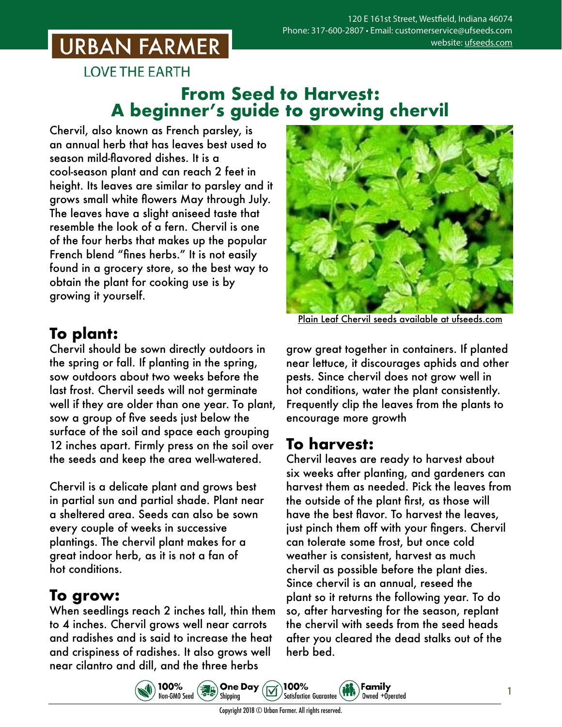## **URBAN FARMER**

**LOVE THE EARTH** 

## **From Seed to Harvest: A beginner's guide to growing chervil**

Chervil, also known as French parsley, is an annual herb that has leaves best used to season mild-flavored dishes. It is a cool-season plant and can reach 2 feet in height. Its leaves are similar to parsley and it grows small white flowers May through July. The leaves have a slight aniseed taste that resemble the look of a fern. Chervil is one of the four herbs that makes up the popular French blend "fines herbs." It is not easily found in a grocery store, so the best way to obtain the plant for cooking use is by growing it yourself.

## **To plant:**

Chervil should be sown directly outdoors in the spring or fall. If planting in the spring, sow outdoors about two weeks before the last frost. Chervil seeds will not germinate well if they are older than one year. To plant, sow a group of five seeds just below the surface of the soil and space each grouping 12 inches apart. Firmly press on the soil over the seeds and keep the area well-watered.

Chervil is a delicate plant and grows best in partial sun and partial shade. Plant near a sheltered area. Seeds can also be sown every couple of weeks in successive plantings. The chervil plant makes for a great indoor herb, as it is not a fan of hot conditions.

#### **To grow:**

When seedlings reach 2 inches tall, thin them to 4 inches. Chervil grows well near carrots and radishes and is said to increase the heat and crispiness of radishes. It also grows well near cilantro and dill, and the three herbs



Plain Leaf Chervil seeds [available at ufseeds.com](https://www.ufseeds.com/product-category/herbs/chervil/)

grow great together in containers. If planted near lettuce, it discourages aphids and other pests. Since chervil does not grow well in hot conditions, water the plant consistently. Frequently clip the leaves from the plants to encourage more growth

## **To harvest:**

Chervil leaves are ready to harvest about six weeks after planting, and gardeners can harvest them as needed. Pick the leaves from the outside of the plant first, as those will have the best flavor. To harvest the leaves, just pinch them off with your fingers. Chervil can tolerate some frost, but once cold weather is consistent, harvest as much chervil as possible before the plant dies. Since chervil is an annual, reseed the plant so it returns the following year. To do so, after harvesting for the season, replant the chervil with seeds from the seed heads after you cleared the dead stalks out of the herb bed.

**B.** One Day 100% 100% Family Non-GMO Seed **Satisfaction Guarantee** Owned +Operated Shipping

1